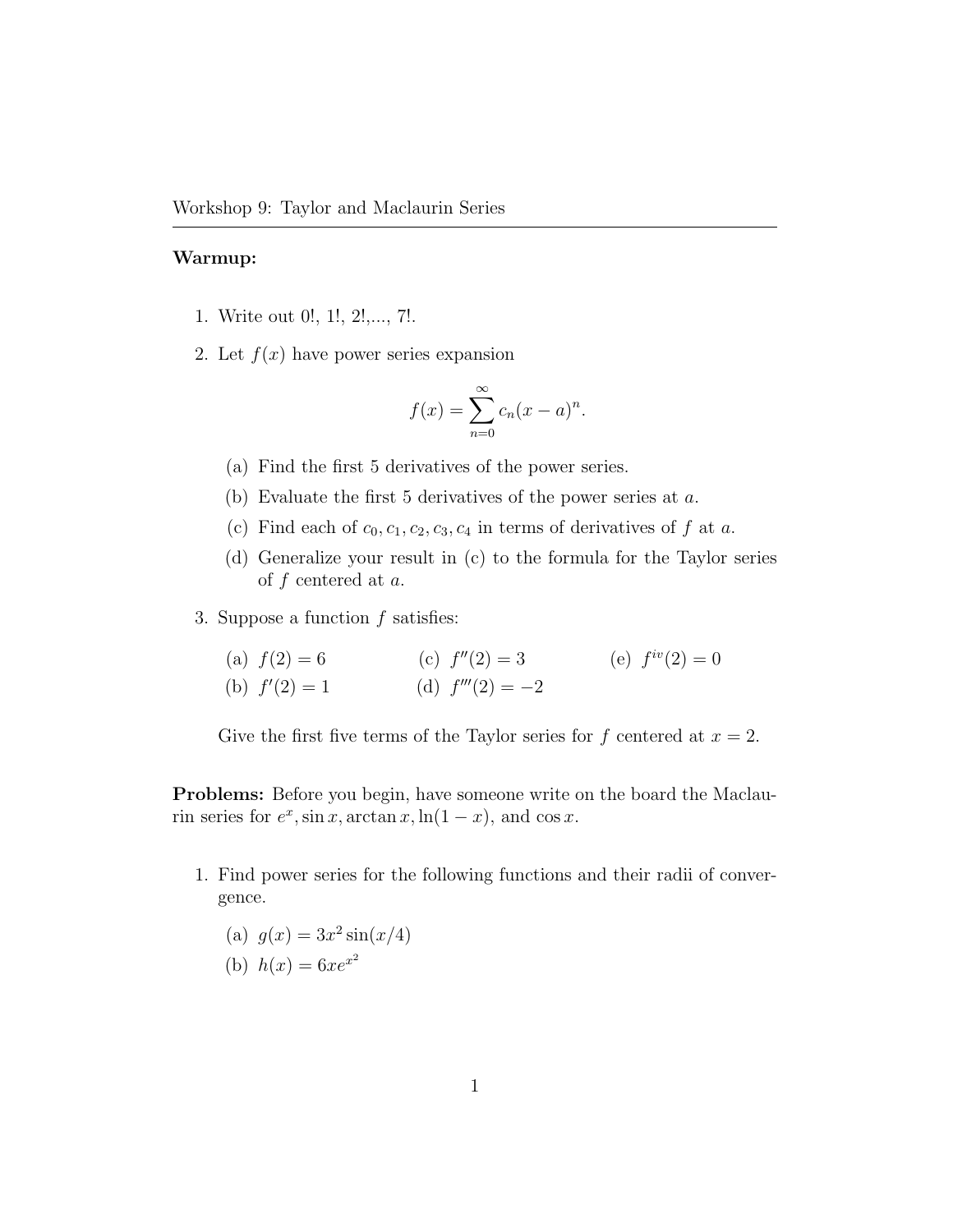## Warmup:

- 1. Write out 0!, 1!, 2!,..., 7!.
- 2. Let  $f(x)$  have power series expansion

$$
f(x) = \sum_{n=0}^{\infty} c_n (x - a)^n.
$$

- (a) Find the first 5 derivatives of the power series.
- (b) Evaluate the first 5 derivatives of the power series at a.
- (c) Find each of  $c_0, c_1, c_2, c_3, c_4$  in terms of derivatives of f at a.
- (d) Generalize your result in (c) to the formula for the Taylor series of f centered at a.
- 3. Suppose a function  $f$  satisfies:

(a) 
$$
f(2) = 6
$$
  
\n(b)  $f'(2) = 1$   
\n(c)  $f''(2) = 3$   
\n(d)  $f'''(2) = -2$   
\n(e)  $f^{iv}(2) = 0$ 

Give the first five terms of the Taylor series for f centered at  $x = 2$ .

Problems: Before you begin, have someone write on the board the Maclaurin series for  $e^x$ , sin x, arctan x, ln(1 – x), and cos x.

1. Find power series for the following functions and their radii of convergence.

(a) 
$$
g(x) = 3x^2 \sin(x/4)
$$

(b) 
$$
h(x) = 6xe^{x^2}
$$